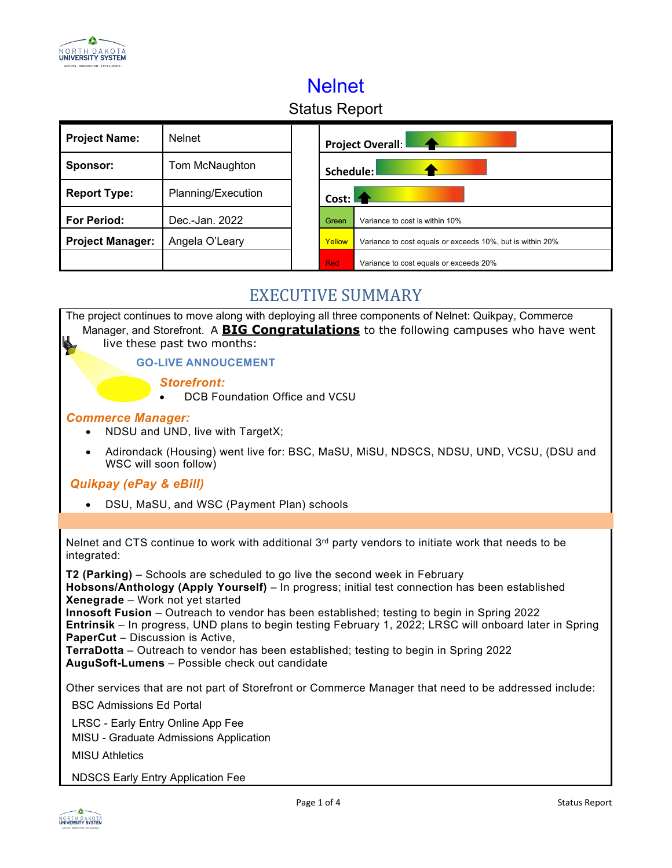

# Nelnet

# Status Report

| <b>Project Name:</b>    | <b>Nelnet</b>      | <b>Project Overall:</b>                                             |                                        |  |
|-------------------------|--------------------|---------------------------------------------------------------------|----------------------------------------|--|
| Sponsor:                | Tom McNaughton     | Schedule:                                                           |                                        |  |
| <b>Report Type:</b>     | Planning/Execution | Cost:                                                               |                                        |  |
| <b>For Period:</b>      | Dec.-Jan. 2022     | Green                                                               | Variance to cost is within 10%         |  |
| <b>Project Manager:</b> | Angela O'Leary     | Yellow<br>Variance to cost equals or exceeds 10%, but is within 20% |                                        |  |
|                         |                    | <b>Red</b>                                                          | Variance to cost equals or exceeds 20% |  |

### EXECUTIVE SUMMARY

| The project continues to move along with deploying all three components of Nelnet: Quikpay, Commerce<br>Manager, and Storefront. A BIG Congratulations to the following campuses who have went<br>$\blacktriangleright$<br>live these past two months:                                                                                                                                                                                                                                                                                                                |
|-----------------------------------------------------------------------------------------------------------------------------------------------------------------------------------------------------------------------------------------------------------------------------------------------------------------------------------------------------------------------------------------------------------------------------------------------------------------------------------------------------------------------------------------------------------------------|
| <b>GO-LIVE ANNOUCEMENT</b>                                                                                                                                                                                                                                                                                                                                                                                                                                                                                                                                            |
| <b>Storefront:</b><br><b>DCB Foundation Office and VCSU</b>                                                                                                                                                                                                                                                                                                                                                                                                                                                                                                           |
| <b>Commerce Manager:</b><br>NDSU and UND, live with TargetX;                                                                                                                                                                                                                                                                                                                                                                                                                                                                                                          |
| Adirondack (Housing) went live for: BSC, MaSU, MiSU, NDSCS, NDSU, UND, VCSU, (DSU and<br>$\bullet$<br>WSC will soon follow)                                                                                                                                                                                                                                                                                                                                                                                                                                           |
| <b>Quikpay (ePay &amp; eBill)</b>                                                                                                                                                                                                                                                                                                                                                                                                                                                                                                                                     |
| DSU, MaSU, and WSC (Payment Plan) schools                                                                                                                                                                                                                                                                                                                                                                                                                                                                                                                             |
|                                                                                                                                                                                                                                                                                                                                                                                                                                                                                                                                                                       |
| Nelnet and CTS continue to work with additional $3^{rd}$ party vendors to initiate work that needs to be<br>integrated:                                                                                                                                                                                                                                                                                                                                                                                                                                               |
| T2 (Parking) – Schools are scheduled to go live the second week in February<br>Hobsons/Anthology (Apply Yourself) - In progress; initial test connection has been established<br>Xenegrade - Work not yet started<br>Innosoft Fusion - Outreach to vendor has been established; testing to begin in Spring 2022<br>Entrinsik - In progress, UND plans to begin testing February 1, 2022; LRSC will onboard later in Spring<br><b>PaperCut</b> - Discussion is Active,<br><b>TerraDotta</b> – Outreach to vendor has been established; testing to begin in Spring 2022 |
| AuguSoft-Lumens - Possible check out candidate                                                                                                                                                                                                                                                                                                                                                                                                                                                                                                                        |
| Other services that are not part of Storefront or Commerce Manager that need to be addressed include:                                                                                                                                                                                                                                                                                                                                                                                                                                                                 |
| <b>BSC Admissions Ed Portal</b>                                                                                                                                                                                                                                                                                                                                                                                                                                                                                                                                       |
| LRSC - Early Entry Online App Fee<br>MISU - Graduate Admissions Application                                                                                                                                                                                                                                                                                                                                                                                                                                                                                           |
| <b>MISU Athletics</b>                                                                                                                                                                                                                                                                                                                                                                                                                                                                                                                                                 |
| <b>NDSCS Early Entry Application Fee</b>                                                                                                                                                                                                                                                                                                                                                                                                                                                                                                                              |
| Page 1 of 4<br><b>Status Report</b>                                                                                                                                                                                                                                                                                                                                                                                                                                                                                                                                   |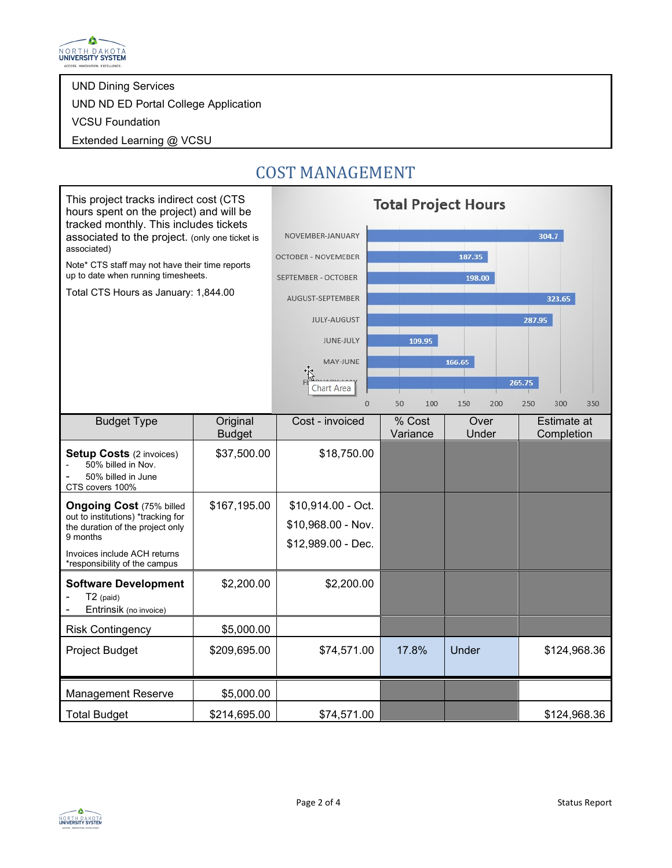

UND Dining Services

UND ND ED Portal College Application

VCSU Foundation

Extended Learning @ VCSU

#### This project tracks indirect cost (CTS **Total Project Hours** hours spent on the project) and will be tracked monthly. This includes tickets NOVEMBER-JANUARY  $304.7$ associated to the project. (only one ticket is associated) OCTOBER - NOVEMEBER 187.35 Note\* CTS staff may not have their time reports up to date when running timesheets. SEPTEMBER - OCTOBER 198.00 Total CTS Hours as January: 1,844.00 AUGUST-SEPTEMBER 323.65 JULY-AUGUST 287.95 **JUNE-JULY** 109.95 MAY-JUNE 166.65 265.75 Chart Area  $\overline{0}$ 100 150 250 300 350 50 200 Budget Type | Original Cost - invoiced | % Cost **Over** Estimate at Budget Variance Under **Completion** \$37,500.00 \$18,750.00 **Setup Costs** (2 invoices) - 50% billed in Nov. 50% billed in June CTS covers 100%  $$167,195.00$   $$10,914.00$  - Oct. **Ongoing Cost** (75% billed out to institutions) \*tracking for \$10,968.00 - Nov. the duration of the project only 9 months \$12,989.00 - Dec. Invoices include ACH returns \*responsibility of the campus **Software Development**  $$2,200.00$   $$2,200.00$ T2 (paid) Entrinsik (no invoice) Risk Contingency 1 \$5,000.00 Project Budget  $\begin{array}{|l} \hline \text{3209,695.00} \hline \end{array}$  \$74,571.00 | 17.8% | Under | \$124,968.36 Management Reserve | \$5,000.00 Total Budget | \$214,695.00 | \$74,571.00 | \$124,968.36

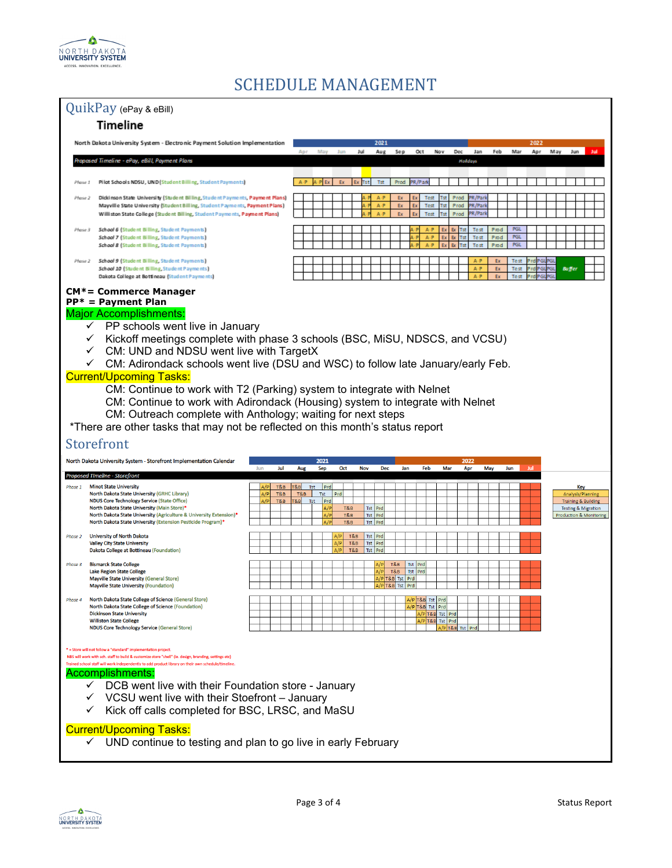

### SCHEDULE MANAGEMENT

| QuikPay (ePay & eBill)                                                                                                                                                                                                                                                                                                                                                                                                                                                                                                                                                                                                                                                              |                                                                                                                                                                                                                                                                                                                                                             |                                                                                                                                                                                                                                                                                                               |  |  |  |  |
|-------------------------------------------------------------------------------------------------------------------------------------------------------------------------------------------------------------------------------------------------------------------------------------------------------------------------------------------------------------------------------------------------------------------------------------------------------------------------------------------------------------------------------------------------------------------------------------------------------------------------------------------------------------------------------------|-------------------------------------------------------------------------------------------------------------------------------------------------------------------------------------------------------------------------------------------------------------------------------------------------------------------------------------------------------------|---------------------------------------------------------------------------------------------------------------------------------------------------------------------------------------------------------------------------------------------------------------------------------------------------------------|--|--|--|--|
| <b>Timeline</b>                                                                                                                                                                                                                                                                                                                                                                                                                                                                                                                                                                                                                                                                     |                                                                                                                                                                                                                                                                                                                                                             |                                                                                                                                                                                                                                                                                                               |  |  |  |  |
|                                                                                                                                                                                                                                                                                                                                                                                                                                                                                                                                                                                                                                                                                     | North Dakota University System - Electronic Payment Solution Implementation                                                                                                                                                                                                                                                                                 | 2021<br>Apr<br>Jul<br>Aug<br>Se p<br>Oct<br>Nov<br>Dec<br>Jan<br>Feb<br>Mar<br>Apr<br>M ay<br>Jun<br>May<br>Jur<br>Jш                                                                                                                                                                                         |  |  |  |  |
|                                                                                                                                                                                                                                                                                                                                                                                                                                                                                                                                                                                                                                                                                     | Proposed Timeline - ePay, eBill, Payment Plans                                                                                                                                                                                                                                                                                                              | Hatdays                                                                                                                                                                                                                                                                                                       |  |  |  |  |
| Phase 1                                                                                                                                                                                                                                                                                                                                                                                                                                                                                                                                                                                                                                                                             | Pilot Schools NDSU, UND (Student Billing, Student Payments)                                                                                                                                                                                                                                                                                                 | Tst<br>Prod                                                                                                                                                                                                                                                                                                   |  |  |  |  |
| Phase 2                                                                                                                                                                                                                                                                                                                                                                                                                                                                                                                                                                                                                                                                             | Dickinson State University (Student Billing, Student Payments, Payment Plans)<br>Mayville State University (Student Billing, Student Payments, Payment Plans)<br>Williston State College (Student Billing, Student Payments, Payment Plans)                                                                                                                 | R/Par<br>$\mathbf{A} \cdot \mathbf{P}$<br>Test<br>Prod<br>Ex<br>$A \cdot P$<br>Ex<br>Test<br>Prod<br>'R/Par<br>Ex<br>R/Park<br>$A \cdot P$<br>Ex<br>Test<br>Prod                                                                                                                                              |  |  |  |  |
| Phase 3                                                                                                                                                                                                                                                                                                                                                                                                                                                                                                                                                                                                                                                                             | School 6 (Student Billing, Student Payments)<br>School 7 (Student Billing, Student Payments)<br>School 8 (Student Billing, Student Payments)                                                                                                                                                                                                                | <b>PGL</b><br>Prod<br>Br<br>Test<br><b>PGL</b><br>A-P<br>Test<br>Prod<br>Ex<br><b>Ex</b><br>Prod<br><b>PGL</b><br>Test                                                                                                                                                                                        |  |  |  |  |
| Phase 2                                                                                                                                                                                                                                                                                                                                                                                                                                                                                                                                                                                                                                                                             | School 9 (Student Billing, Student Payments)<br>School 10 (Student Billing, Student Payments)<br>Dakota College at Bottineau (Student Payments)                                                                                                                                                                                                             | $A \cdot P$<br>Ex<br>Test<br>A-P<br>Ex<br>Test<br><b>Buffer</b><br>٦ĠI<br>A-P<br>Ex<br>Test                                                                                                                                                                                                                   |  |  |  |  |
| <b>Major Accomplishments:</b><br>$\checkmark$ PP schools went live in January<br>Kickoff meetings complete with phase 3 schools (BSC, MiSU, NDSCS, and VCSU)<br>$\checkmark$ CM: UND and NDSU went live with TargetX<br>$\checkmark$ CM: Adirondack schools went live (DSU and WSC) to follow late January/early Feb.<br><b>Current/Upcoming Tasks:</b><br>CM: Continue to work with T2 (Parking) system to integrate with Nelnet<br>CM: Continue to work with Adirondack (Housing) system to integrate with Nelnet<br>CM: Outreach complete with Anthology; waiting for next steps<br>*There are other tasks that may not be reflected on this month's status report<br>Storefront |                                                                                                                                                                                                                                                                                                                                                             |                                                                                                                                                                                                                                                                                                               |  |  |  |  |
|                                                                                                                                                                                                                                                                                                                                                                                                                                                                                                                                                                                                                                                                                     | North Dakota University System - Storefront Implementation Calendar                                                                                                                                                                                                                                                                                         | 2021<br>2022<br>Jun<br>Jul<br>Aug<br>Sep<br>Oct<br><b>Nov</b><br>Dec<br>Jan<br>Feb<br>Mar<br>Apr<br>May<br>Jun<br>Jul                                                                                                                                                                                         |  |  |  |  |
| Phase 1                                                                                                                                                                                                                                                                                                                                                                                                                                                                                                                                                                                                                                                                             | Proposed Timeline - Storefront<br><b>Minot State University</b><br>North Dakota State University (GRHC Library)<br><b>NDUS Core Technology Service (State Office)</b><br>North Dakota State University (Main Store)*<br>North Dakota State University (Agriculture & University Extension)*<br>North Dakota State University (Extension Pesticide Program)* | T&B<br>Tst<br>Prd<br>T&B<br>Key<br>T&B<br>Prd<br>A/P<br>T&B<br>Tst<br>Analysis/Planning<br>A/P<br>T&B<br>T&B<br>Tst<br>Prd<br><b>Training &amp; Building</b><br>Tst   Prd<br>A/P<br>T&B<br><b>Testing &amp; Migration</b><br>A/P<br>T&B<br>Tst Prd<br>Production & Monitoring<br>Tst Prd<br>$\Delta/D$<br>T&B |  |  |  |  |
| Phase 2                                                                                                                                                                                                                                                                                                                                                                                                                                                                                                                                                                                                                                                                             | <b>University of North Dakota</b><br><b>Valley City State University</b><br>Dakota College at Bottineau (Foundation)                                                                                                                                                                                                                                        | Tst Prd<br>T&B<br>A/P<br>T&B<br>Tst Prd<br>T&B<br>Tst Prd                                                                                                                                                                                                                                                     |  |  |  |  |
| Phase 3                                                                                                                                                                                                                                                                                                                                                                                                                                                                                                                                                                                                                                                                             | <b>Bismarck State College</b><br><b>Lake Region State College</b><br><b>Mayville State University (General Store)</b><br><b>Mayville State University (Foundation)</b>                                                                                                                                                                                      | T&B<br>Tst Prd<br>Tst Prd<br>A/P<br>T&B<br>A/P T&B Tst Prd<br>A/P T&B Tst Prd                                                                                                                                                                                                                                 |  |  |  |  |
| Phase 4                                                                                                                                                                                                                                                                                                                                                                                                                                                                                                                                                                                                                                                                             | <b>North Dakota State College of Science (General Store)</b><br>North Dakota State College of Science (Foundation)<br><b>Dickinson State University</b><br><b>Williston State College</b><br><b>NDUS Core Technology Service (General Store)</b>                                                                                                            | \/P T&B  Tst   Prd<br>VPT&B Tst Prd<br>A/P T&B Tst Prd<br>A/P T&B Tst Prd<br>A/P T&B Tst Prd                                                                                                                                                                                                                  |  |  |  |  |
| = Store will not follow a "standard" implementation project<br>NBS will work with sch. staff to build & customize store "shell" (ie. design, branding, settings etc)<br>Trained school staff will work independently to add product library on their own schedule/timeline<br><u>Accomplishments:</u><br>$\checkmark$ DCB went live with their Foundation store - January<br>VCSU went live with their Stoefront - January<br>Kick off calls completed for BSC, LRSC, and MaSU<br><b>Current/Upcoming Tasks:</b><br>$\checkmark$ UND continue to testing and plan to go live in early February                                                                                      |                                                                                                                                                                                                                                                                                                                                                             |                                                                                                                                                                                                                                                                                                               |  |  |  |  |